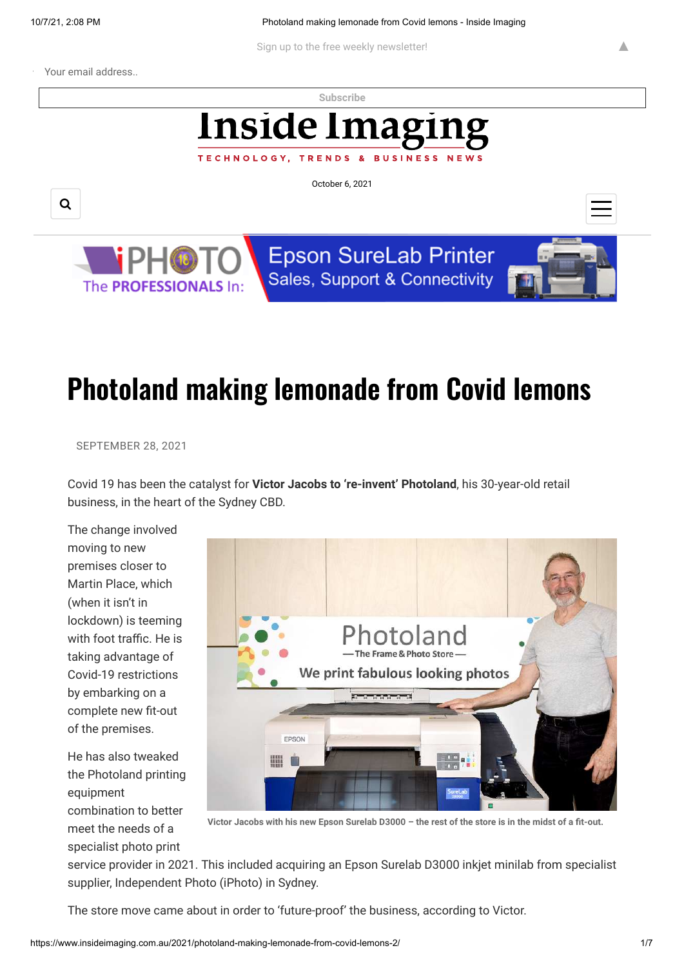**BUSINESS** 

Sign up to the free weekly newsletter!

Your email address..

**[Subscribe](https://www.insideimaging.com.au/)**

# **Inside Imagi**

TECHNOLOGY, TRENDS

October 6, 2021

Q



**Epson SureLab Printer** Sales, Support & Connectivity



▲

## **Photoland making lemonade from Covid lemons**

#### SEPTEMBER 28, 2021

Covid 19 has been the catalyst for **Victor Jacobs to 're-invent' Photoland**, his 30-year-old retail business, in the heart of the Sydney CBD.

The change involved moving to new premises closer to Martin Place, which (when it isn't in lockdown) is teeming with foot traffic. He is taking advantage of Covid-19 restrictions by embarking on a complete new fit-out of the premises.

He has also tweaked the Photoland printing equipment combination to better meet the needs of a specialist photo print



**Victor Jacobs with his new Epson Surelab D3000 – the rest of the store is in the midst of a fit-out.**

service provider in 2021. This included acquiring an Epson Surelab D3000 inkjet minilab from specialist supplier, Independent Photo (iPhoto) in Sydney.

The store move came about in order to 'future-proof' the business, according to Victor.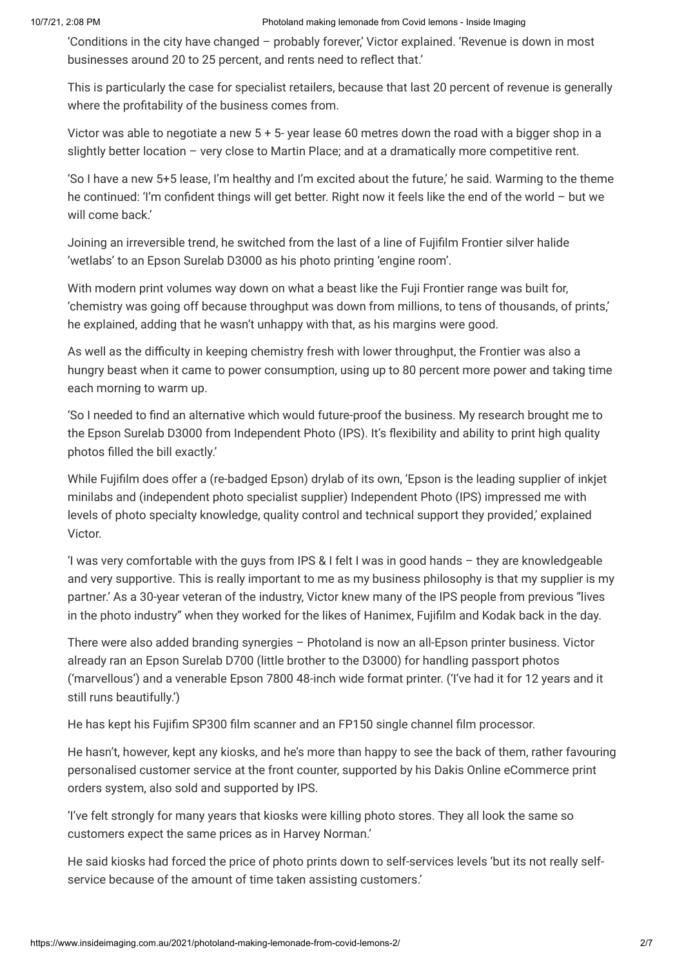'Conditions in the city have changed – probably forever,' Victor explained. 'Revenue is down in most businesses around 20 to 25 percent, and rents need to reflect that.'

This is particularly the case for specialist retailers, because that last 20 percent of revenue is generally where the profitability of the business comes from.

Victor was able to negotiate a new 5 + 5- year lease 60 metres down the road with a bigger shop in a slightly better location – very close to Martin Place; and at a dramatically more competitive rent.

'So I have a new 5+5 lease, I'm healthy and I'm excited about the future,' he said. Warming to the theme he continued: 'I'm confident things will get better. Right now it feels like the end of the world – but we will come back.'

Joining an irreversible trend, he switched from the last of a line of Fujifilm Frontier silver halide 'wetlabs' to an Epson Surelab D3000 as his photo printing 'engine room'.

With modern print volumes way down on what a beast like the Fuji Frontier range was built for, 'chemistry was going off because throughput was down from millions, to tens of thousands, of prints,' he explained, adding that he wasn't unhappy with that, as his margins were good.

As well as the difficulty in keeping chemistry fresh with lower throughput, the Frontier was also a hungry beast when it came to power consumption, using up to 80 percent more power and taking time each morning to warm up.

'So I needed to find an alternative which would future-proof the business. My research brought me to the Epson Surelab D3000 from Independent Photo (IPS). It's flexibility and ability to print high quality photos filled the bill exactly.'

While Fujifilm does offer a (re-badged Epson) drylab of its own, 'Epson is the leading supplier of inkjet minilabs and (independent photo specialist supplier) Independent Photo (IPS) impressed me with levels of photo specialty knowledge, quality control and technical support they provided,' explained Victor.

'I was very comfortable with the guys from IPS & I felt I was in good hands – they are knowledgeable and very supportive. This is really important to me as my business philosophy is that my supplier is my partner.' As a 30-year veteran of the industry, Victor knew many of the IPS people from previous "lives in the photo industry" when they worked for the likes of Hanimex, Fujifilm and Kodak back in the day.

There were also added branding synergies – Photoland is now an all-Epson printer business. Victor already ran an Epson Surelab D700 (little brother to the D3000) for handling passport photos ('marvellous') and a venerable Epson 7800 48-inch wide format printer. ('I've had it for 12 years and it still runs beautifully.')

He has kept his Fujifim SP300 film scanner and an FP150 single channel film processor.

He hasn't, however, kept any kiosks, and he's more than happy to see the back of them, rather favouring personalised customer service at the front counter, supported by his Dakis Online eCommerce print orders system, also sold and supported by IPS.

'I've felt strongly for many years that kiosks were killing photo stores. They all look the same so customers expect the same prices as in Harvey Norman.'

He said kiosks had forced the price of photo prints down to self-services levels 'but its not really selfservice because of the amount of time taken assisting customers.'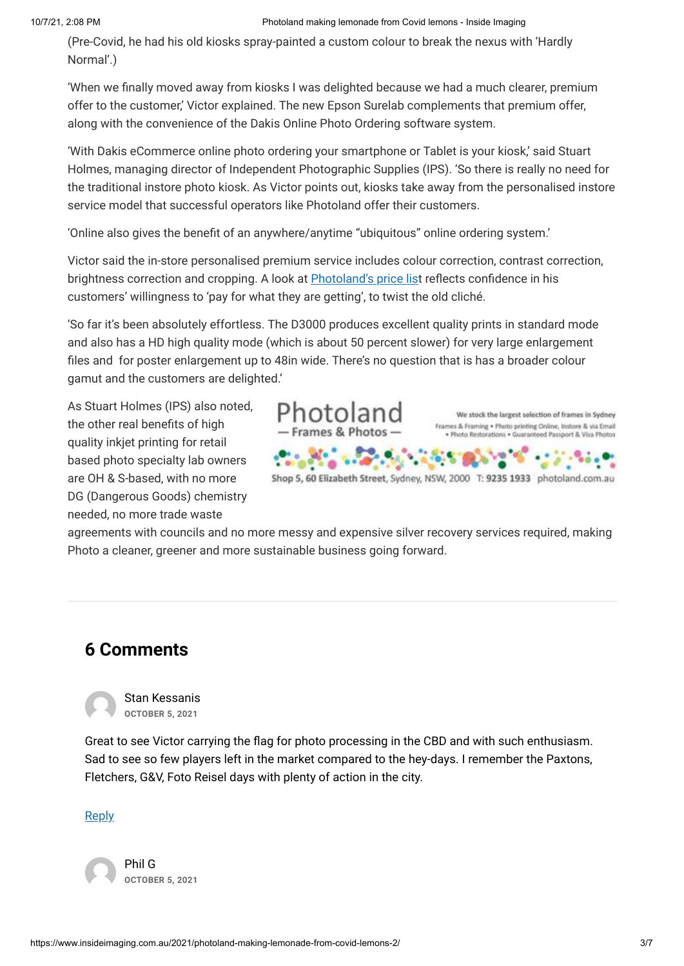(Pre-Covid, he had his old kiosks spray-painted a custom colour to break the nexus with 'Hardly Normal'.)

'When we finally moved away from kiosks I was delighted because we had a much clearer, premium offer to the customer,' Victor explained. The new Epson Surelab complements that premium offer, along with the convenience of the Dakis Online Photo Ordering software system.

'With Dakis eCommerce online photo ordering your smartphone or Tablet is your kiosk,' said Stuart Holmes, managing director of Independent Photographic Supplies (IPS). 'So there is really no need for the traditional instore photo kiosk. As Victor points out, kiosks take away from the personalised instore service model that successful operators like Photoland offer their customers.

'Online also gives the benefit of an anywhere/anytime "ubiquitous" online ordering system.'

Victor said the in-store personalised premium service includes colour correction, contrast correction, brightness correction and cropping. A look at [Photoland's price lis](https://www.photoland.com.au/photo-services/print-photos/instore-photo-printing/)t reflects confidence in his customers' willingness to 'pay for what they are getting', to twist the old cliché.

'So far it's been absolutely effortless. The D3000 produces excellent quality prints in standard mode and also has a HD high quality mode (which is about 50 percent slower) for very large enlargement files and for poster enlargement up to 48in wide. There's no question that is has a broader colour gamut and the customers are delighted.'

As Stuart Holmes (IPS) also noted, the other real benefits of high quality inkjet printing for retail based photo specialty lab owners are OH & S-based, with no more DG (Dangerous Goods) chemistry needed, no more trade waste



agreements with councils and no more messy and expensive silver recovery services required, making Photo a cleaner, greener and more sustainable business going forward.

## **6 Comments**

<span id="page-2-0"></span>

Great to see Victor carrying the flag for photo processing in the CBD and with such enthusiasm. Sad to see so few players left in the market compared to the hey-days. I remember the Paxtons, Fletchers, G&V, Foto Reisel days with plenty of action in the city.

[Reply](#page-2-0)

<span id="page-2-1"></span>Phil G **OCTOBER 5, 2021**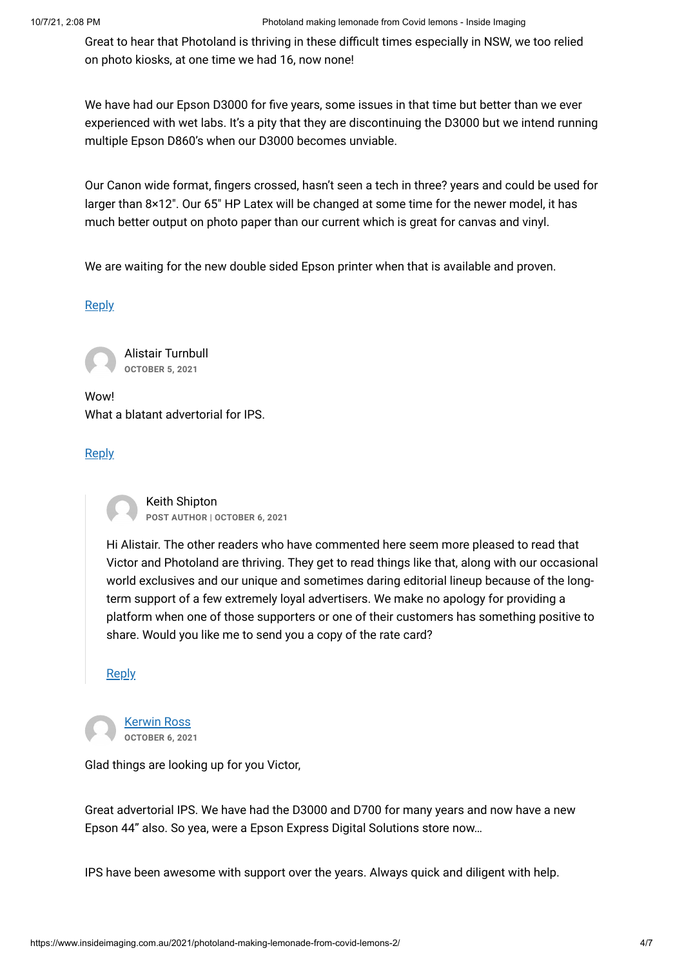Great to hear that Photoland is thriving in these difficult times especially in NSW, we too relied on photo kiosks, at one time we had 16, now none!

We have had our Epson D3000 for five years, some issues in that time but better than we ever experienced with wet labs. It's a pity that they are discontinuing the D3000 but we intend running multiple Epson D860's when our D3000 becomes unviable.

Our Canon wide format, fingers crossed, hasn't seen a tech in three? years and could be used for larger than 8×12″. Our 65″ HP Latex will be changed at some time for the newer model, it has much better output on photo paper than our current which is great for canvas and vinyl.

We are waiting for the new double sided Epson printer when that is available and proven.

#### [Reply](#page-2-1)

<span id="page-3-0"></span>Alistair Turnbull **OCTOBER 5, 2021**

Wow! What a blatant advertorial for IPS.

#### [Reply](#page-3-0)

<span id="page-3-1"></span>Keith Shipton **POST AUTHOR | OCTOBER 6, 2021**

Hi Alistair. The other readers who have commented here seem more pleased to read that Victor and Photoland are thriving. They get to read things like that, along with our occasional world exclusives and our unique and sometimes daring editorial lineup because of the longterm support of a few extremely loyal advertisers. We make no apology for providing a platform when one of those supporters or one of their customers has something positive to share. Would you like me to send you a copy of the rate card?

#### **[Reply](#page-3-1)**

<span id="page-3-2"></span>[Kerwin Ross](http://www.photopro.com.au/) **OCTOBER 6, 2021**

Glad things are looking up for you Victor,

Great advertorial IPS. We have had the D3000 and D700 for many years and now have a new Epson 44" also. So yea, were a Epson Express Digital Solutions store now…

IPS have been awesome with support over the years. Always quick and diligent with help.